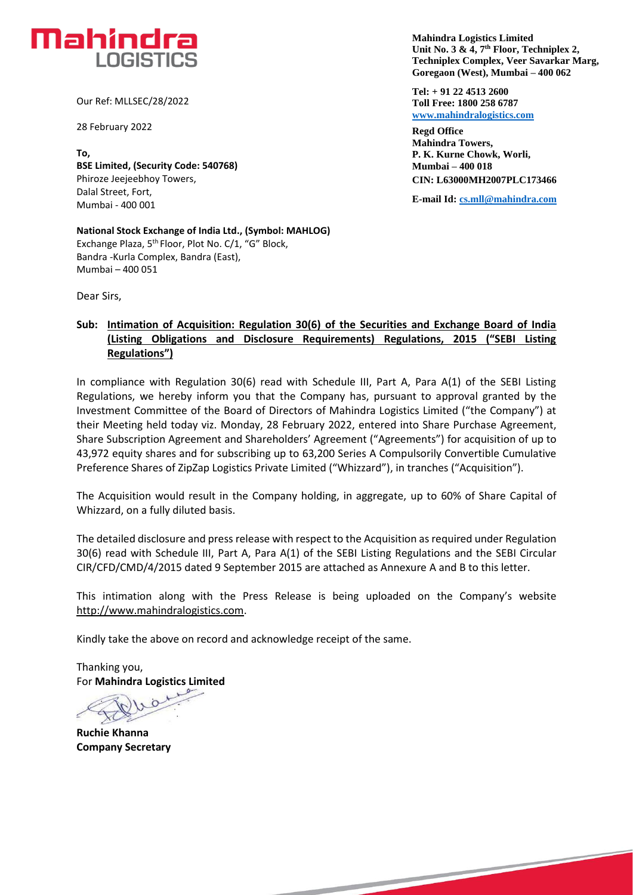

Our Ref: MLLSEC/28/2022

28 February 2022

**To, BSE Limited, (Security Code: 540768)** Phiroze Jeejeebhoy Towers, Dalal Street, Fort, Mumbai - 400 001

**National Stock Exchange of India Ltd., (Symbol: MAHLOG)** Exchange Plaza, 5th Floor, Plot No. C/1, "G" Block, Bandra -Kurla Complex, Bandra (East), Mumbai – 400 051

Dear Sirs,

## **Sub: Intimation of Acquisition: Regulation 30(6) of the Securities and Exchange Board of India (Listing Obligations and Disclosure Requirements) Regulations, 2015 ("SEBI Listing Regulations")**

In compliance with Regulation 30(6) read with Schedule III, Part A, Para A(1) of the SEBI Listing Regulations, we hereby inform you that the Company has, pursuant to approval granted by the Investment Committee of the Board of Directors of Mahindra Logistics Limited ("the Company") at their Meeting held today viz. Monday, 28 February 2022, entered into Share Purchase Agreement, Share Subscription Agreement and Shareholders' Agreement ("Agreements") for acquisition of up to 43,972 equity shares and for subscribing up to 63,200 Series A Compulsorily Convertible Cumulative Preference Shares of ZipZap Logistics Private Limited ("Whizzard"), in tranches ("Acquisition").

The Acquisition would result in the Company holding, in aggregate, up to 60% of Share Capital of Whizzard, on a fully diluted basis.

The detailed disclosure and press release with respect to the Acquisition as required under Regulation 30(6) read with Schedule III, Part A, Para A(1) of the SEBI Listing Regulations and the SEBI Circular CIR/CFD/CMD/4/2015 dated 9 September 2015 are attached as Annexure A and B to this letter.

This intimation along with the Press Release is being uploaded on the Company's website [http://www.mahindralogistics.com.](http://www.mahindralogistics.com/)

Kindly take the above on record and acknowledge receipt of the same.

Thanking you, For **Mahindra Logistics Limited**

 $\Omega$ 

**Ruchie Khanna Company Secretary**

 **Unit No. 3 & 4, 7th Floor, Techniplex 2, Mahindra Logistics Limited Techniplex Complex, Veer Savarkar Marg, Goregaon (West), Mumbai – 400 062**

**Tel: + 91 22 4513 2600 Toll Free: 1800 258 6787 [www.mahindralogistics.com](http://www.mahindralogistics.com/)**

**Regd Office Mahindra Towers, P. K. Kurne Chowk, Worli, Mumbai – 400 018 CIN: L63000MH2007PLC173466**

**E-mail Id: [cs.mll@mahindra.com](mailto:cs.mll@mahindra.com)**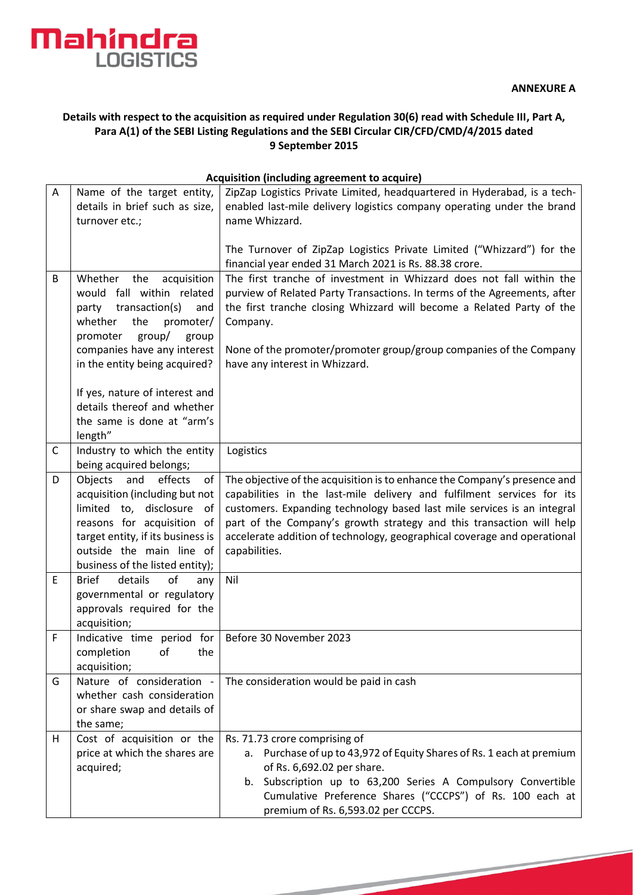

## **Details with respect to the acquisition as required under Regulation 30(6) read with Schedule III, Part A, Para A(1) of the SEBI Listing Regulations and the SEBI Circular CIR/CFD/CMD/4/2015 dated 9 September 2015**

|              | Acquisition (including agreement to acquire)                                                                                                                                                                                     |                                                                                                                                                                                                                                                                                                                                                                                                     |  |  |
|--------------|----------------------------------------------------------------------------------------------------------------------------------------------------------------------------------------------------------------------------------|-----------------------------------------------------------------------------------------------------------------------------------------------------------------------------------------------------------------------------------------------------------------------------------------------------------------------------------------------------------------------------------------------------|--|--|
| A            | Name of the target entity,<br>details in brief such as size,<br>turnover etc.;                                                                                                                                                   | ZipZap Logistics Private Limited, headquartered in Hyderabad, is a tech-<br>enabled last-mile delivery logistics company operating under the brand<br>name Whizzard.                                                                                                                                                                                                                                |  |  |
|              |                                                                                                                                                                                                                                  | The Turnover of ZipZap Logistics Private Limited ("Whizzard") for the<br>financial year ended 31 March 2021 is Rs. 88.38 crore.                                                                                                                                                                                                                                                                     |  |  |
| B            | Whether<br>the<br>acquisition<br>would fall within related<br>party transaction(s)<br>and<br>whether<br>the<br>promoter/<br>promoter<br>group/<br>group<br>companies have any interest<br>in the entity being acquired?          | The first tranche of investment in Whizzard does not fall within the<br>purview of Related Party Transactions. In terms of the Agreements, after<br>the first tranche closing Whizzard will become a Related Party of the<br>Company.<br>None of the promoter/promoter group/group companies of the Company<br>have any interest in Whizzard.                                                       |  |  |
|              | If yes, nature of interest and<br>details thereof and whether<br>the same is done at "arm's<br>length"                                                                                                                           |                                                                                                                                                                                                                                                                                                                                                                                                     |  |  |
| $\mathsf{C}$ | Industry to which the entity<br>being acquired belongs;                                                                                                                                                                          | Logistics                                                                                                                                                                                                                                                                                                                                                                                           |  |  |
| D            | Objects<br>and<br>effects<br>of<br>acquisition (including but not<br>limited to, disclosure of<br>reasons for acquisition of<br>target entity, if its business is<br>outside the main line of<br>business of the listed entity); | The objective of the acquisition is to enhance the Company's presence and<br>capabilities in the last-mile delivery and fulfilment services for its<br>customers. Expanding technology based last mile services is an integral<br>part of the Company's growth strategy and this transaction will help<br>accelerate addition of technology, geographical coverage and operational<br>capabilities. |  |  |
| E            | <b>Brief</b><br>details<br>of<br>any<br>governmental or regulatory<br>approvals required for the<br>acquisition;                                                                                                                 | Nil                                                                                                                                                                                                                                                                                                                                                                                                 |  |  |
| $\mathsf F$  | Indicative time period for<br>completion of<br>the<br>acquisition;                                                                                                                                                               | Before 30 November 2023                                                                                                                                                                                                                                                                                                                                                                             |  |  |
| G            | Nature of consideration -<br>whether cash consideration<br>or share swap and details of<br>the same;                                                                                                                             | The consideration would be paid in cash                                                                                                                                                                                                                                                                                                                                                             |  |  |
| H            | Cost of acquisition or the<br>price at which the shares are<br>acquired;                                                                                                                                                         | Rs. 71.73 crore comprising of<br>a. Purchase of up to 43,972 of Equity Shares of Rs. 1 each at premium<br>of Rs. 6,692.02 per share.<br>b. Subscription up to 63,200 Series A Compulsory Convertible<br>Cumulative Preference Shares ("CCCPS") of Rs. 100 each at                                                                                                                                   |  |  |

premium of Rs. 6,593.02 per CCCPS.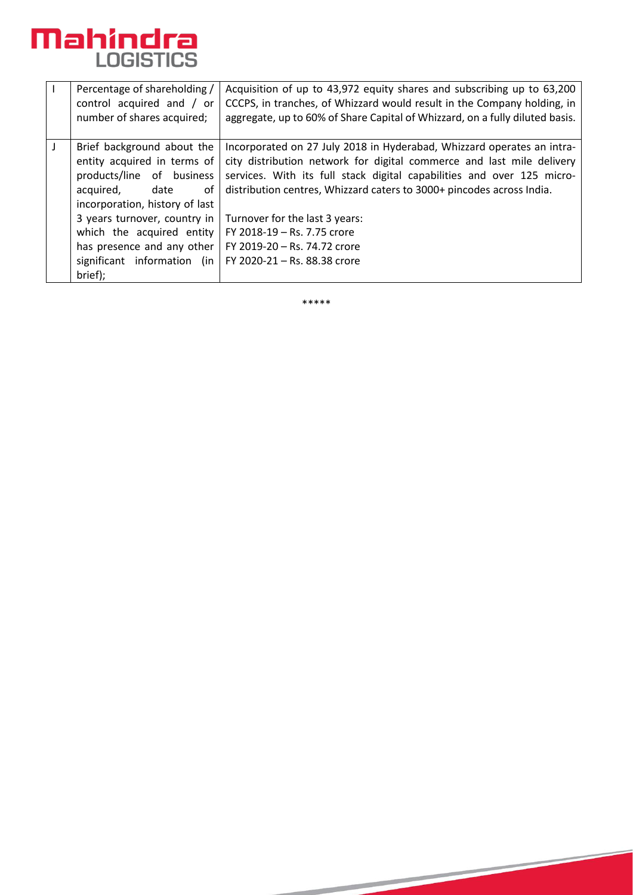

|   | Percentage of shareholding /<br>control acquired and / or<br>number of shares acquired;                                                             | Acquisition of up to 43,972 equity shares and subscribing up to 63,200<br>CCCPS, in tranches, of Whizzard would result in the Company holding, in<br>aggregate, up to 60% of Share Capital of Whizzard, on a fully diluted basis.                                                                  |
|---|-----------------------------------------------------------------------------------------------------------------------------------------------------|----------------------------------------------------------------------------------------------------------------------------------------------------------------------------------------------------------------------------------------------------------------------------------------------------|
| J | Brief background about the<br>entity acquired in terms of<br>products/line of business<br>acquired,<br>date<br>οf<br>incorporation, history of last | Incorporated on 27 July 2018 in Hyderabad, Whizzard operates an intra-<br>city distribution network for digital commerce and last mile delivery<br>services. With its full stack digital capabilities and over 125 micro-<br>distribution centres, Whizzard caters to 3000+ pincodes across India. |
|   | 3 years turnover, country in<br>which the acquired entity<br>has presence and any other<br>significant information (in<br>brief);                   | Turnover for the last 3 years:<br>FY 2018-19 - Rs. 7.75 crore<br>FY 2019-20 - Rs. 74.72 crore<br>FY 2020-21 - Rs. 88.38 crore                                                                                                                                                                      |

\*\*\*\*\*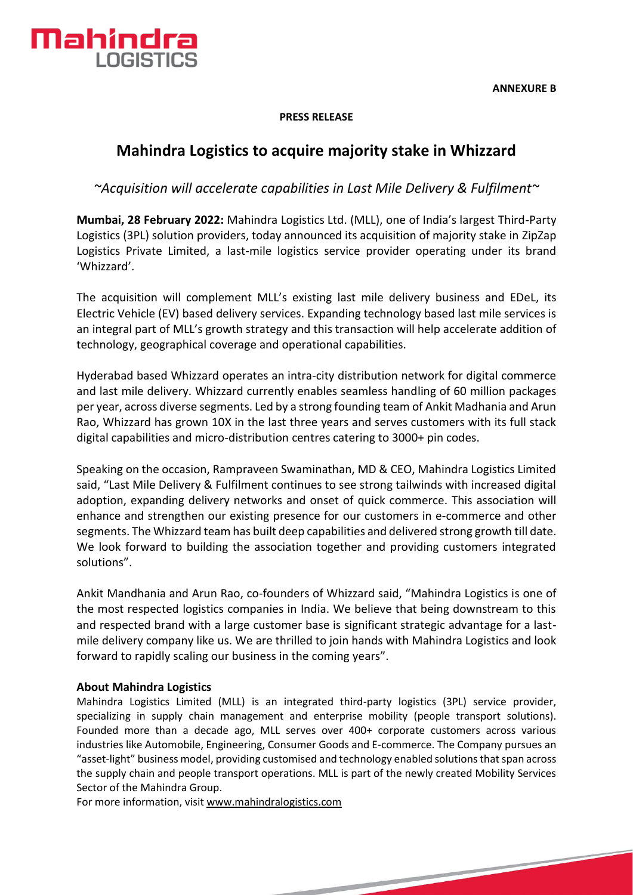

**PRESS RELEASE**

# **Mahindra Logistics to acquire majority stake in Whizzard**

*~Acquisition will accelerate capabilities in Last Mile Delivery & Fulfilment~*

**Mumbai, 28 February 2022:** Mahindra Logistics Ltd. (MLL), one of India's largest Third-Party Logistics (3PL) solution providers, today announced its acquisition of majority stake in ZipZap Logistics Private Limited, a last-mile logistics service provider operating under its brand 'Whizzard'.

The acquisition will complement MLL's existing last mile delivery business and EDeL, its Electric Vehicle (EV) based delivery services. Expanding technology based last mile services is an integral part of MLL's growth strategy and this transaction will help accelerate addition of technology, geographical coverage and operational capabilities.

Hyderabad based Whizzard operates an intra-city distribution network for digital commerce and last mile delivery. Whizzard currently enables seamless handling of 60 million packages per year, across diverse segments. Led by a strong founding team of Ankit Madhania and Arun Rao, Whizzard has grown 10X in the last three years and serves customers with its full stack digital capabilities and micro-distribution centres catering to 3000+ pin codes.

Speaking on the occasion, Rampraveen Swaminathan, MD & CEO, Mahindra Logistics Limited said, "Last Mile Delivery & Fulfilment continues to see strong tailwinds with increased digital adoption, expanding delivery networks and onset of quick commerce. This association will enhance and strengthen our existing presence for our customers in e-commerce and other segments. The Whizzard team has built deep capabilities and delivered strong growth till date. We look forward to building the association together and providing customers integrated solutions".

Ankit Mandhania and Arun Rao, co-founders of Whizzard said, "Mahindra Logistics is one of the most respected logistics companies in India. We believe that being downstream to this and respected brand with a large customer base is significant strategic advantage for a lastmile delivery company like us. We are thrilled to join hands with Mahindra Logistics and look forward to rapidly scaling our business in the coming years".

#### **About Mahindra Logistics**

Mahindra Logistics Limited (MLL) is an integrated third-party logistics (3PL) service provider, specializing in supply chain management and enterprise mobility (people transport solutions). Founded more than a decade ago, MLL serves over 400+ corporate customers across various industries like Automobile, Engineering, Consumer Goods and E-commerce. The Company pursues an "asset-light" business model, providing customised and technology enabled solutions that span across the supply chain and people transport operations. MLL is part of the newly created Mobility Services Sector of the Mahindra Group.

For more information, visi[t www.mahindralogistics.com](http://www.mahindralogistics.com/)